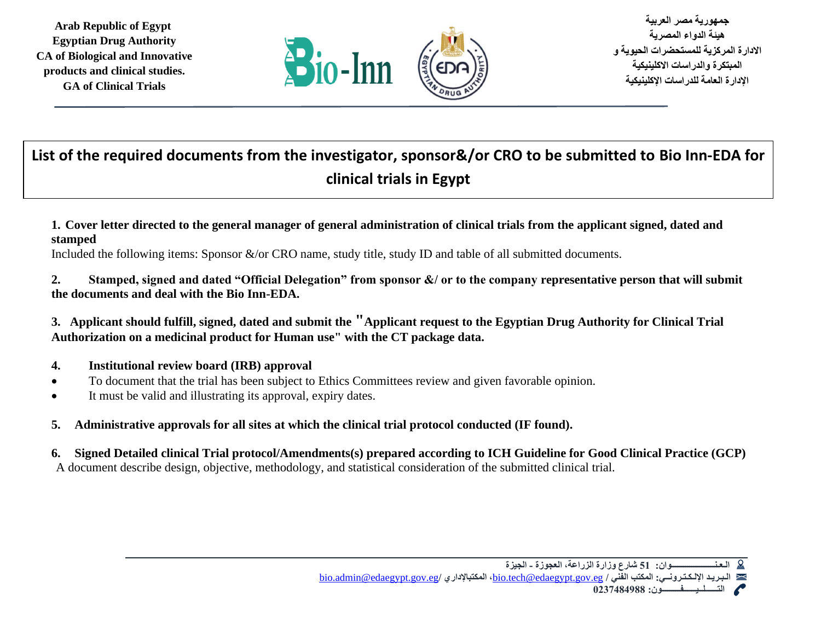

**جمهورية مصر العربية هيئة الدواء المصرية االدارة المركزية للمستحضرات الحيوية و المبتكرة والدراسات االكلينيكية اإلدارة العامة للدراسات اإلكلينيكية** 

# **List of the required documents from the investigator, sponsor&/or CRO to be submitted to Bio Inn-EDA for clinical trials in Egypt**

**1. Cover letter directed to the general manager of general administration of clinical trials from the applicant signed, dated and stamped**

Included the following items: Sponsor &/or CRO name, study title, study ID and table of all submitted documents.

- **2. Stamped, signed and dated "Official Delegation" from sponsor &/ or to the company representative person that will submit the documents and deal with the Bio Inn-EDA.**
- **3. Applicant should fulfill, signed, dated and submit the "Applicant request to the Egyptian Drug Authority for Clinical Trial Authorization on a medicinal product for Human use" with the CT package data.**
- **4. Institutional review board (IRB) approval**
- To document that the trial has been subject to Ethics Committees review and given favorable opinion.
- It must be valid and illustrating its approval, expiry dates.
- **5. Administrative approvals for all sites at which the clinical trial protocol conducted (IF found).**
- **6. Signed Detailed clinical Trial protocol/Amendments(s) prepared according to ICH Guideline for Good Clinical Practice (GCP)** A document describe design, objective, methodology, and statistical consideration of the submitted clinical trial.

**الـعـنـــــــــــــــــــــوان: 51 شارع وزارة الزراعة، العجوزة - الجيزة**  [bio.admin@edaegypt.gov.eg](mailto:bio.admin@edaegypt.gov.eg)**/ المكتباإلداري ،**[bio.tech@edaegypt.gov.eg](mailto:bio.tech@edaegypt.gov.eg) **/ الفني المكتب :اإللـكـتـرونــي الـبـريـد** 

 **التــــــلــيــــــفـــــــــون: 0237484988**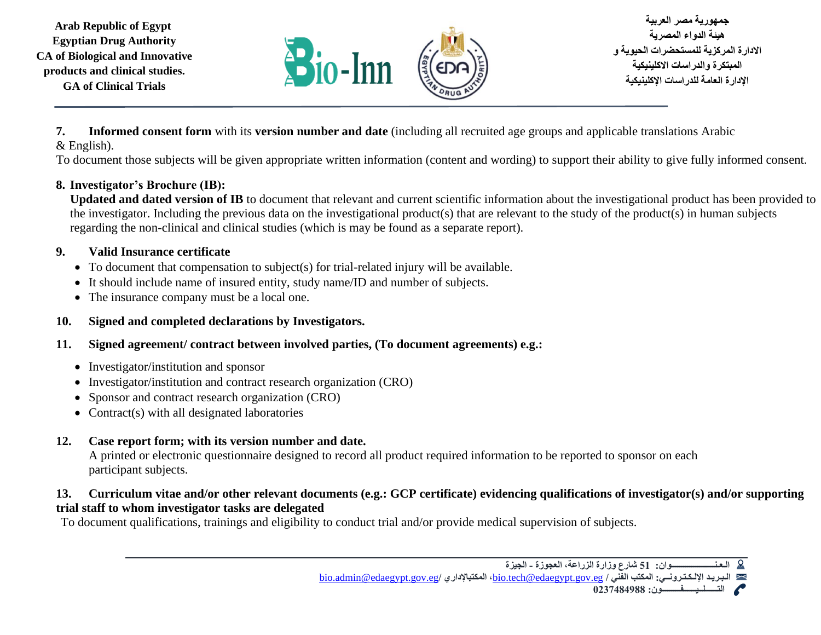

**جمهورية مصر العربية هيئة الدواء المصرية االدارة المركزية للمستحضرات الحيوية و المبتكرة والدراسات االكلينيكية اإلدارة العامة للدراسات اإلكلينيكية** 

**7. Informed consent form** with its **version number and date** (including all recruited age groups and applicable translations Arabic & English).

To document those subjects will be given appropriate written information (content and wording) to support their ability to give fully informed consent.

#### **8. Investigator's Brochure (IB):**

**Updated and dated version of IB** to document that relevant and current scientific information about the investigational product has been provided to the investigator. Including the previous data on the investigational product(s) that are relevant to the study of the product(s) in human subjects regarding the non-clinical and clinical studies (which is may be found as a separate report).

## **9. Valid Insurance certificate**

- To document that compensation to subject(s) for trial-related injury will be available.
- It should include name of insured entity, study name/ID and number of subjects.
- The insurance company must be a local one.

## **10. Signed and completed declarations by Investigators.**

- **11. Signed agreement/ contract between involved parties, (To document agreements) e.g.:**
	- Investigator/institution and sponsor
	- Investigator/institution and contract research organization (CRO)
	- Sponsor and contract research organization (CRO)
	- Contract(s) with all designated laboratories

# **12. Case report form; with its version number and date.**

A printed or electronic questionnaire designed to record all product required information to be reported to sponsor on each participant subjects.

#### **13. Curriculum vitae and/or other relevant documents (e.g.: GCP certificate) evidencing qualifications of investigator(s) and/or supporting trial staff to whom investigator tasks are delegated**

To document qualifications, trainings and eligibility to conduct trial and/or provide medical supervision of subjects.

 **التــــــلــيــــــفـــــــــون: 0237484988**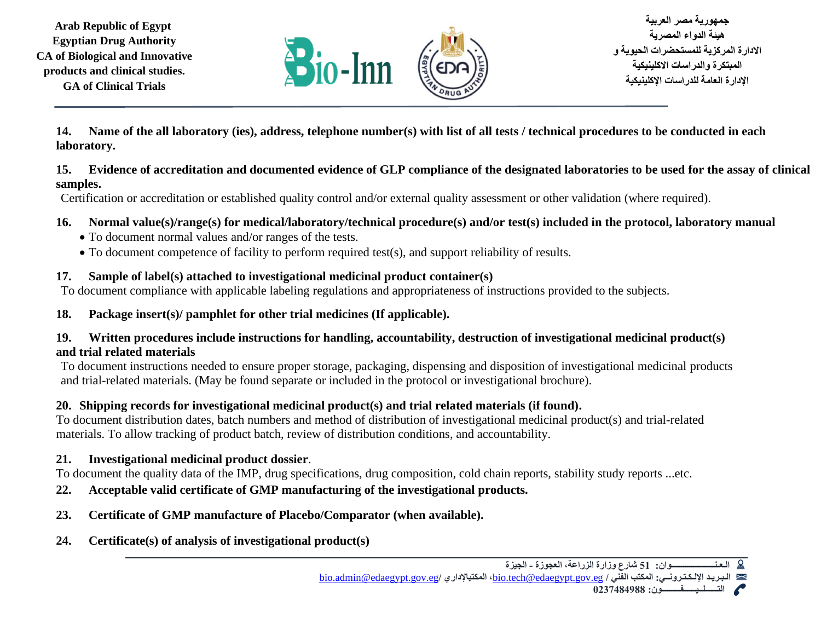

**جمهورية مصر العربية هيئة الدواء المصرية االدارة المركزية للمستحضرات الحيوية و المبتكرة والدراسات االكلينيكية اإلدارة العامة للدراسات اإلكلينيكية** 

**14. Name of the all laboratory (ies), address, telephone number(s) with list of all tests / technical procedures to be conducted in each laboratory.**

#### **15. Evidence of accreditation and documented evidence of GLP compliance of the designated laboratories to be used for the assay of clinical samples.**

Certification or accreditation or established quality control and/or external quality assessment or other validation (where required).

#### **16. Normal value(s)/range(s) for medical/laboratory/technical procedure(s) and/or test(s) included in the protocol, laboratory manual**

- To document normal values and/or ranges of the tests.
- To document competence of facility to perform required test(s), and support reliability of results.

## **17. Sample of label(s) attached to investigational medicinal product container(s)**

To document compliance with applicable labeling regulations and appropriateness of instructions provided to the subjects.

## **18. Package insert(s)/ pamphlet for other trial medicines (If applicable).**

#### **19. Written procedures include instructions for handling, accountability, destruction of investigational medicinal product(s) and trial related materials**

To document instructions needed to ensure proper storage, packaging, dispensing and disposition of investigational medicinal products and trial-related materials. (May be found separate or included in the protocol or investigational brochure).

## **20. Shipping records for investigational medicinal product(s) and trial related materials (if found).**

To document distribution dates, batch numbers and method of distribution of investigational medicinal product(s) and trial-related materials. To allow tracking of product batch, review of distribution conditions, and accountability.

## **21. Investigational medicinal product dossier**.

To document the quality data of the IMP, drug specifications, drug composition, cold chain reports, stability study reports ...etc.

- **22. Acceptable valid certificate of GMP manufacturing of the investigational products.**
- **23. Certificate of GMP manufacture of Placebo/Comparator (when available).**
- **24. Certificate(s) of analysis of investigational product(s)**